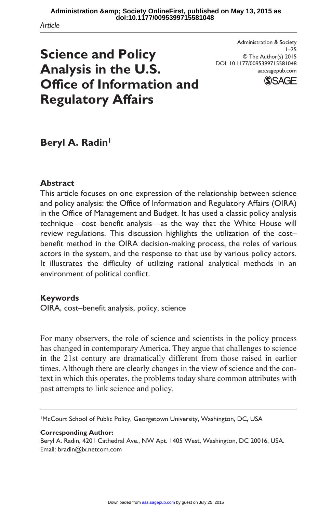*Article*

# **Science and Policy Analysis in the U.S. Office of Information and Regulatory Affairs**

Administration & Society  $1 - 25$ © The Author(s) 2015 DOI: 10.1177/0095399715581048 aas.sagepub.com



# **Beryl A. Radin1**

#### **Abstract**

This article focuses on one expression of the relationship between science and policy analysis: the Office of Information and Regulatory Affairs (OIRA) in the Office of Management and Budget. It has used a classic policy analysis technique—cost–benefit analysis—as the way that the White House will review regulations. This discussion highlights the utilization of the cost– benefit method in the OIRA decision-making process, the roles of various actors in the system, and the response to that use by various policy actors. It illustrates the difficulty of utilizing rational analytical methods in an environment of political conflict.

#### **Keywords**

OIRA, cost–benefit analysis, policy, science

For many observers, the role of science and scientists in the policy process has changed in contemporary America. They argue that challenges to science in the 21st century are dramatically different from those raised in earlier times. Although there are clearly changes in the view of science and the context in which this operates, the problems today share common attributes with past attempts to link science and policy.

1McCourt School of Public Policy, Georgetown University, Washington, DC, USA

#### **Corresponding Author:**

Beryl A. Radin, 4201 Cathedral Ave., NW Apt. 1405 West, Washington, DC 20016, USA. Email: [bradin@ix.netcom.com](mailto:bradin@ix.netcom.com)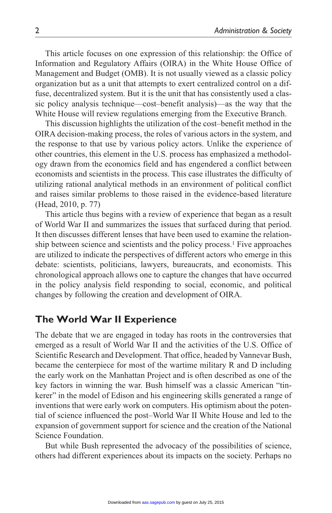This article focuses on one expression of this relationship: the Office of Information and Regulatory Affairs (OIRA) in the White House Office of Management and Budget (OMB). It is not usually viewed as a classic policy organization but as a unit that attempts to exert centralized control on a diffuse, decentralized system. But it is the unit that has consistently used a classic policy analysis technique—cost–benefit analysis)—as the way that the White House will review regulations emerging from the Executive Branch.

This discussion highlights the utilization of the cost–benefit method in the OIRA decision-making process, the roles of various actors in the system, and the response to that use by various policy actors. Unlike the experience of other countries, this element in the U.S. process has emphasized a methodology drawn from the economics field and has engendered a conflict between economists and scientists in the process. This case illustrates the difficulty of utilizing rational analytical methods in an environment of political conflict and raises similar problems to those raised in the evidence-based literature (Head, 2010, p. 77)

This article thus begins with a review of experience that began as a result of World War II and summarizes the issues that surfaced during that period. It then discusses different lenses that have been used to examine the relationship between science and scientists and the policy process.<sup>1</sup> Five approaches are utilized to indicate the perspectives of different actors who emerge in this debate: scientists, politicians, lawyers, bureaucrats, and economists. This chronological approach allows one to capture the changes that have occurred in the policy analysis field responding to social, economic, and political changes by following the creation and development of OIRA.

#### **The World War II Experience**

The debate that we are engaged in today has roots in the controversies that emerged as a result of World War II and the activities of the U.S. Office of Scientific Research and Development. That office, headed by Vannevar Bush, became the centerpiece for most of the wartime military R and D including the early work on the Manhattan Project and is often described as one of the key factors in winning the war. Bush himself was a classic American "tinkerer" in the model of Edison and his engineering skills generated a range of inventions that were early work on computers. His optimism about the potential of science influenced the post–World War II White House and led to the expansion of government support for science and the creation of the National Science Foundation.

But while Bush represented the advocacy of the possibilities of science, others had different experiences about its impacts on the society. Perhaps no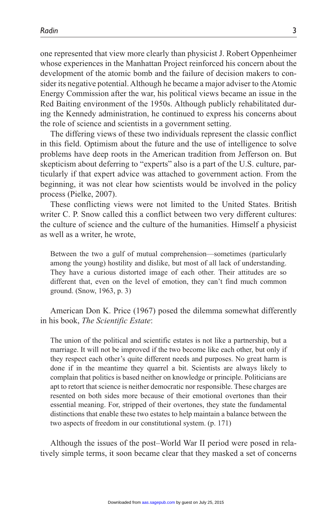one represented that view more clearly than physicist J. Robert Oppenheimer whose experiences in the Manhattan Project reinforced his concern about the development of the atomic bomb and the failure of decision makers to consider its negative potential. Although he became a major adviser to the Atomic Energy Commission after the war, his political views became an issue in the Red Baiting environment of the 1950s. Although publicly rehabilitated during the Kennedy administration, he continued to express his concerns about the role of science and scientists in a government setting.

The differing views of these two individuals represent the classic conflict in this field. Optimism about the future and the use of intelligence to solve problems have deep roots in the American tradition from Jefferson on. But skepticism about deferring to "experts" also is a part of the U.S. culture, particularly if that expert advice was attached to government action. From the beginning, it was not clear how scientists would be involved in the policy process (Pielke, 2007).

These conflicting views were not limited to the United States. British writer C. P. Snow called this a conflict between two very different cultures: the culture of science and the culture of the humanities. Himself a physicist as well as a writer, he wrote,

Between the two a gulf of mutual comprehension—sometimes (particularly among the young) hostility and dislike, but most of all lack of understanding. They have a curious distorted image of each other. Their attitudes are so different that, even on the level of emotion, they can't find much common ground. (Snow, 1963, p. 3)

American Don K. Price (1967) posed the dilemma somewhat differently in his book, *The Scientific Estate*:

The union of the political and scientific estates is not like a partnership, but a marriage. It will not be improved if the two become like each other, but only if they respect each other's quite different needs and purposes. No great harm is done if in the meantime they quarrel a bit. Scientists are always likely to complain that politics is based neither on knowledge or principle. Politicians are apt to retort that science is neither democratic nor responsible. These charges are resented on both sides more because of their emotional overtones than their essential meaning. For, stripped of their overtones, they state the fundamental distinctions that enable these two estates to help maintain a balance between the two aspects of freedom in our constitutional system. (p. 171)

Although the issues of the post–World War II period were posed in relatively simple terms, it soon became clear that they masked a set of concerns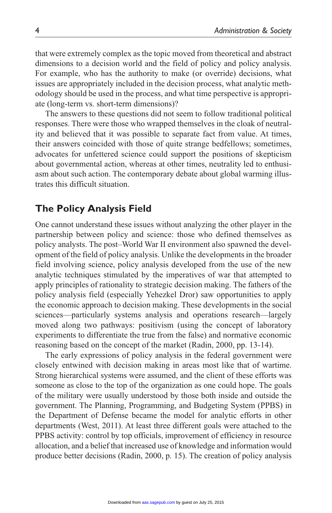that were extremely complex as the topic moved from theoretical and abstract dimensions to a decision world and the field of policy and policy analysis. For example, who has the authority to make (or override) decisions, what issues are appropriately included in the decision process, what analytic methodology should be used in the process, and what time perspective is appropriate (long-term vs. short-term dimensions)?

The answers to these questions did not seem to follow traditional political responses. There were those who wrapped themselves in the cloak of neutrality and believed that it was possible to separate fact from value. At times, their answers coincided with those of quite strange bedfellows; sometimes, advocates for unfettered science could support the positions of skepticism about governmental action, whereas at other times, neutrality led to enthusiasm about such action. The contemporary debate about global warming illustrates this difficult situation.

#### **The Policy Analysis Field**

One cannot understand these issues without analyzing the other player in the partnership between policy and science: those who defined themselves as policy analysts. The post–World War II environment also spawned the development of the field of policy analysis. Unlike the developments in the broader field involving science, policy analysis developed from the use of the new analytic techniques stimulated by the imperatives of war that attempted to apply principles of rationality to strategic decision making. The fathers of the policy analysis field (especially Yehezkel Dror) saw opportunities to apply the economic approach to decision making. These developments in the social sciences—particularly systems analysis and operations research—largely moved along two pathways: positivism (using the concept of laboratory experiments to differentiate the true from the false) and normative economic reasoning based on the concept of the market (Radin, 2000, pp. 13-14).

The early expressions of policy analysis in the federal government were closely entwined with decision making in areas most like that of wartime. Strong hierarchical systems were assumed, and the client of these efforts was someone as close to the top of the organization as one could hope. The goals of the military were usually understood by those both inside and outside the government. The Planning, Programming, and Budgeting System (PPBS) in the Department of Defense became the model for analytic efforts in other departments (West, 2011). At least three different goals were attached to the PPBS activity: control by top officials, improvement of efficiency in resource allocation, and a belief that increased use of knowledge and information would produce better decisions (Radin, 2000, p. 15). The creation of policy analysis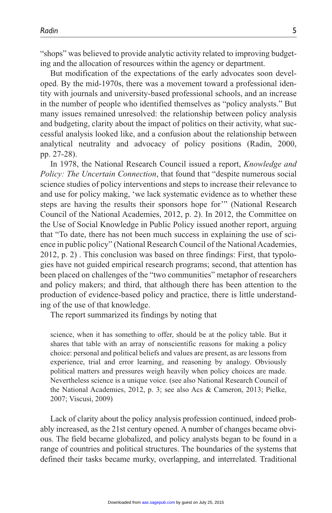"shops" was believed to provide analytic activity related to improving budgeting and the allocation of resources within the agency or department.

But modification of the expectations of the early advocates soon developed. By the mid-1970s, there was a movement toward a professional identity with journals and university-based professional schools, and an increase in the number of people who identified themselves as "policy analysts." But many issues remained unresolved: the relationship between policy analysis and budgeting, clarity about the impact of politics on their activity, what successful analysis looked like, and a confusion about the relationship between analytical neutrality and advocacy of policy positions (Radin, 2000, pp. 27-28).

In 1978, the National Research Council issued a report, *Knowledge and Policy: The Uncertain Connection*, that found that "despite numerous social science studies of policy interventions and steps to increase their relevance to and use for policy making, 'we lack systematic evidence as to whether these steps are having the results their sponsors hope for'" (National Research Council of the National Academies, 2012, p. 2). In 2012, the Committee on the Use of Social Knowledge in Public Policy issued another report, arguing that "To date, there has not been much success in explaining the use of science in public policy" (National Research Council of the National Academies, 2012, p. 2) . This conclusion was based on three findings: First, that typologies have not guided empirical research programs; second, that attention has been placed on challenges of the "two communities" metaphor of researchers and policy makers; and third, that although there has been attention to the production of evidence-based policy and practice, there is little understanding of the use of that knowledge.

The report summarized its findings by noting that

science, when it has something to offer, should be at the policy table. But it shares that table with an array of nonscientific reasons for making a policy choice: personal and political beliefs and values are present, as are lessons from experience, trial and error learning, and reasoning by analogy. Obviously political matters and pressures weigh heavily when policy choices are made. Nevertheless science is a unique voice. (see also National Research Council of the National Academies, 2012, p. 3; see also Acs & Cameron, 2013; Pielke, 2007; Viscusi, 2009)

Lack of clarity about the policy analysis profession continued, indeed probably increased, as the 21st century opened. A number of changes became obvious. The field became globalized, and policy analysts began to be found in a range of countries and political structures. The boundaries of the systems that defined their tasks became murky, overlapping, and interrelated. Traditional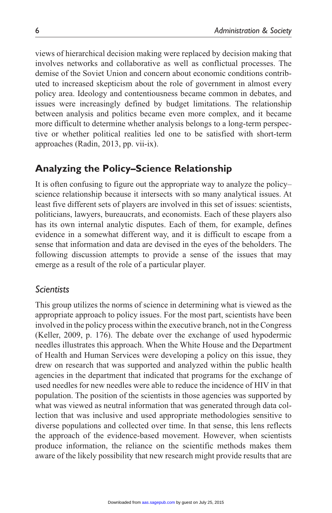views of hierarchical decision making were replaced by decision making that involves networks and collaborative as well as conflictual processes. The demise of the Soviet Union and concern about economic conditions contributed to increased skepticism about the role of government in almost every policy area. Ideology and contentiousness became common in debates, and issues were increasingly defined by budget limitations. The relationship between analysis and politics became even more complex, and it became more difficult to determine whether analysis belongs to a long-term perspective or whether political realities led one to be satisfied with short-term approaches (Radin, 2013, pp. vii-ix).

# **Analyzing the Policy–Science Relationship**

It is often confusing to figure out the appropriate way to analyze the policy– science relationship because it intersects with so many analytical issues. At least five different sets of players are involved in this set of issues: scientists, politicians, lawyers, bureaucrats, and economists. Each of these players also has its own internal analytic disputes. Each of them, for example, defines evidence in a somewhat different way, and it is difficult to escape from a sense that information and data are devised in the eyes of the beholders. The following discussion attempts to provide a sense of the issues that may emerge as a result of the role of a particular player.

## *Scientists*

This group utilizes the norms of science in determining what is viewed as the appropriate approach to policy issues. For the most part, scientists have been involved in the policy process within the executive branch, not in the Congress (Keller, 2009, p. 176). The debate over the exchange of used hypodermic needles illustrates this approach. When the White House and the Department of Health and Human Services were developing a policy on this issue, they drew on research that was supported and analyzed within the public health agencies in the department that indicated that programs for the exchange of used needles for new needles were able to reduce the incidence of HIV in that population. The position of the scientists in those agencies was supported by what was viewed as neutral information that was generated through data collection that was inclusive and used appropriate methodologies sensitive to diverse populations and collected over time. In that sense, this lens reflects the approach of the evidence-based movement. However, when scientists produce information, the reliance on the scientific methods makes them aware of the likely possibility that new research might provide results that are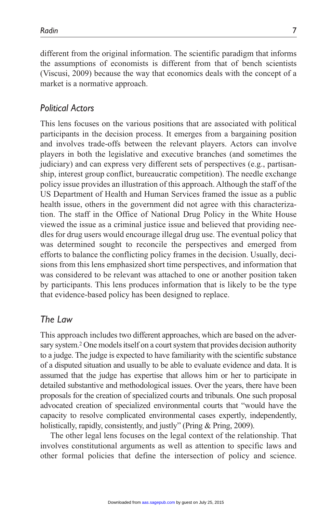different from the original information. The scientific paradigm that informs the assumptions of economists is different from that of bench scientists (Viscusi, 2009) because the way that economics deals with the concept of a market is a normative approach.

#### *Political Actors*

This lens focuses on the various positions that are associated with political participants in the decision process. It emerges from a bargaining position and involves trade-offs between the relevant players. Actors can involve players in both the legislative and executive branches (and sometimes the judiciary) and can express very different sets of perspectives (e.g., partisanship, interest group conflict, bureaucratic competition). The needle exchange policy issue provides an illustration of this approach. Although the staff of the US Department of Health and Human Services framed the issue as a public health issue, others in the government did not agree with this characterization. The staff in the Office of National Drug Policy in the White House viewed the issue as a criminal justice issue and believed that providing needles for drug users would encourage illegal drug use. The eventual policy that was determined sought to reconcile the perspectives and emerged from efforts to balance the conflicting policy frames in the decision. Usually, decisions from this lens emphasized short time perspectives, and information that was considered to be relevant was attached to one or another position taken by participants. This lens produces information that is likely to be the type that evidence-based policy has been designed to replace.

#### *The Law*

This approach includes two different approaches, which are based on the adversary system.2 One models itself on a court system that provides decision authority to a judge. The judge is expected to have familiarity with the scientific substance of a disputed situation and usually to be able to evaluate evidence and data. It is assumed that the judge has expertise that allows him or her to participate in detailed substantive and methodological issues. Over the years, there have been proposals for the creation of specialized courts and tribunals. One such proposal advocated creation of specialized environmental courts that "would have the capacity to resolve complicated environmental cases expertly, independently, holistically, rapidly, consistently, and justly" (Pring & Pring, 2009).

The other legal lens focuses on the legal context of the relationship. That involves constitutional arguments as well as attention to specific laws and other formal policies that define the intersection of policy and science.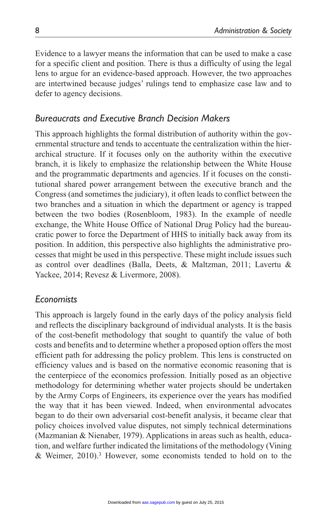Evidence to a lawyer means the information that can be used to make a case for a specific client and position. There is thus a difficulty of using the legal lens to argue for an evidence-based approach. However, the two approaches are intertwined because judges' rulings tend to emphasize case law and to defer to agency decisions.

## *Bureaucrats and Executive Branch Decision Makers*

This approach highlights the formal distribution of authority within the governmental structure and tends to accentuate the centralization within the hierarchical structure. If it focuses only on the authority within the executive branch, it is likely to emphasize the relationship between the White House and the programmatic departments and agencies. If it focuses on the constitutional shared power arrangement between the executive branch and the Congress (and sometimes the judiciary), it often leads to conflict between the two branches and a situation in which the department or agency is trapped between the two bodies (Rosenbloom, 1983). In the example of needle exchange, the White House Office of National Drug Policy had the bureaucratic power to force the Department of HHS to initially back away from its position. In addition, this perspective also highlights the administrative processes that might be used in this perspective. These might include issues such as control over deadlines (Balla, Deets, & Maltzman, 2011; Lavertu & Yackee, 2014; Revesz & Livermore, 2008).

#### *Economists*

This approach is largely found in the early days of the policy analysis field and reflects the disciplinary background of individual analysts. It is the basis of the cost-benefit methodology that sought to quantify the value of both costs and benefits and to determine whether a proposed option offers the most efficient path for addressing the policy problem. This lens is constructed on efficiency values and is based on the normative economic reasoning that is the centerpiece of the economics profession. Initially posed as an objective methodology for determining whether water projects should be undertaken by the Army Corps of Engineers, its experience over the years has modified the way that it has been viewed. Indeed, when environmental advocates began to do their own adversarial cost-benefit analysis, it became clear that policy choices involved value disputes, not simply technical determinations (Mazmanian & Nienaber, 1979). Applications in areas such as health, education, and welfare further indicated the limitations of the methodology (Vining & Weimer, 2010).3 However, some economists tended to hold on to the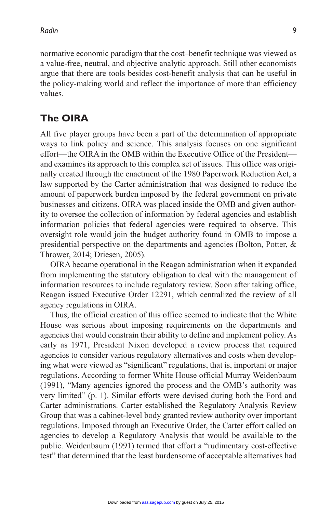normative economic paradigm that the cost–benefit technique was viewed as a value-free, neutral, and objective analytic approach. Still other economists argue that there are tools besides cost-benefit analysis that can be useful in the policy-making world and reflect the importance of more than efficiency values.

## **The OIRA**

All five player groups have been a part of the determination of appropriate ways to link policy and science. This analysis focuses on one significant effort—the OIRA in the OMB within the Executive Office of the President and examines its approach to this complex set of issues. This office was originally created through the enactment of the 1980 Paperwork Reduction Act, a law supported by the Carter administration that was designed to reduce the amount of paperwork burden imposed by the federal government on private businesses and citizens. OIRA was placed inside the OMB and given authority to oversee the collection of information by federal agencies and establish information policies that federal agencies were required to observe. This oversight role would join the budget authority found in OMB to impose a presidential perspective on the departments and agencies (Bolton, Potter, & Thrower, 2014; Driesen, 2005).

OIRA became operational in the Reagan administration when it expanded from implementing the statutory obligation to deal with the management of information resources to include regulatory review. Soon after taking office, Reagan issued Executive Order 12291, which centralized the review of all agency regulations in OIRA.

Thus, the official creation of this office seemed to indicate that the White House was serious about imposing requirements on the departments and agencies that would constrain their ability to define and implement policy. As early as 1971, President Nixon developed a review process that required agencies to consider various regulatory alternatives and costs when developing what were viewed as "significant" regulations, that is, important or major regulations. According to former White House official Murray Weidenbaum (1991), "Many agencies ignored the process and the OMB's authority was very limited" (p. 1). Similar efforts were devised during both the Ford and Carter administrations. Carter established the Regulatory Analysis Review Group that was a cabinet-level body granted review authority over important regulations. Imposed through an Executive Order, the Carter effort called on agencies to develop a Regulatory Analysis that would be available to the public. Weidenbaum (1991) termed that effort a "rudimentary cost-effective test" that determined that the least burdensome of acceptable alternatives had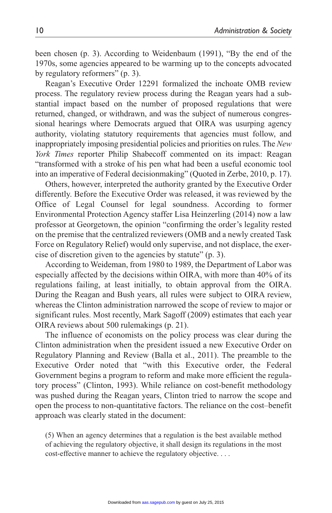been chosen (p. 3). According to Weidenbaum (1991), "By the end of the 1970s, some agencies appeared to be warming up to the concepts advocated by regulatory reformers" (p. 3).

Reagan's Executive Order 12291 formalized the inchoate OMB review process. The regulatory review process during the Reagan years had a substantial impact based on the number of proposed regulations that were returned, changed, or withdrawn, and was the subject of numerous congressional hearings where Democrats argued that OIRA was usurping agency authority, violating statutory requirements that agencies must follow, and inappropriately imposing presidential policies and priorities on rules. The *New York Times* reporter Philip Shabecoff commented on its impact: Reagan "transformed with a stroke of his pen what had been a useful economic tool into an imperative of Federal decisionmaking" (Quoted in Zerbe, 2010, p. 17).

Others, however, interpreted the authority granted by the Executive Order differently. Before the Executive Order was released, it was reviewed by the Office of Legal Counsel for legal soundness. According to former Environmental Protection Agency staffer Lisa Heinzerling (2014) now a law professor at Georgetown, the opinion "confirming the order's legality rested on the premise that the centralized reviewers (OMB and a newly created Task Force on Regulatory Relief) would only supervise, and not displace, the exercise of discretion given to the agencies by statute" (p. 3).

According to Weideman, from 1980 to 1989, the Department of Labor was especially affected by the decisions within OIRA, with more than 40% of its regulations failing, at least initially, to obtain approval from the OIRA. During the Reagan and Bush years, all rules were subject to OIRA review, whereas the Clinton administration narrowed the scope of review to major or significant rules. Most recently, Mark Sagoff (2009) estimates that each year OIRA reviews about 500 rulemakings (p. 21).

The influence of economists on the policy process was clear during the Clinton administration when the president issued a new Executive Order on Regulatory Planning and Review (Balla et al., 2011). The preamble to the Executive Order noted that "with this Executive order, the Federal Government begins a program to reform and make more efficient the regulatory process" (Clinton, 1993). While reliance on cost-benefit methodology was pushed during the Reagan years, Clinton tried to narrow the scope and open the process to non-quantitative factors. The reliance on the cost–benefit approach was clearly stated in the document:

(5) When an agency determines that a regulation is the best available method of achieving the regulatory objective, it shall design its regulations in the most cost-effective manner to achieve the regulatory objective. . . .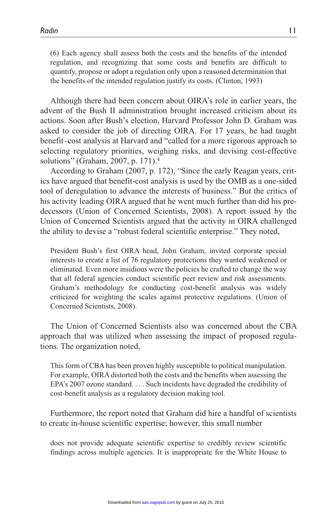(6) Each agency shall assess both the costs and the benefits of the intended regulation, and recognizing that some costs and benefits are difficult to quantify, propose or adopt a regulation only upon a reasoned determination that the benefits of the intended regulation justify its costs. (Clinton, 1993)

Although there had been concern about OIRA's role in earlier years, the advent of the Bush II administration brought increased criticism about its actions. Soon after Bush's election, Harvard Professor John D. Graham was asked to consider the job of directing OIRA. For 17 years, he had taught benefit–cost analysis at Harvard and "called for a more rigorous approach to selecting regulatory priorities, weighing risks, and devising cost-effective solutions" (Graham, 2007, p. 171).4

According to Graham (2007, p. 172), "Since the early Reagan years, critics have argued that benefit-cost analysis is used by the OMB as a one-sided tool of deregulation to advance the interests of business." But the critics of his activity leading OIRA argued that he went much further than did his predecessors (Union of Concerned Scientists, 2008). A report issued by the Union of Concerned Scientists argued that the activity in OIRA challenged the ability to devise a "robust federal scientific enterprise." They noted,

President Bush's first OIRA head, John Graham, invited corporate special interests to create a list of 76 regulatory protections they wanted weakened or eliminated. Even more insidious were the policies he crafted to change the way that all federal agencies conduct scientific peer review and risk assessments. Graham's methodology for conducting cost-benefit analysis was widely criticized for weighting the scales against protective regulations. (Union of Concerned Scientists, 2008).

The Union of Concerned Scientists also was concerned about the CBA approach that was utilized when assessing the impact of proposed regulations. The organization noted,

This form of CBA has been proven highly susceptible to political manipulation. For example, OIRA distorted both the costs and the benefits when assessing the EPA's 2007 ozone standard. . . . Such incidents have degraded the credibility of cost-benefit analysis as a regulatory decision making tool.

Furthermore, the report noted that Graham did hire a handful of scientists to create in-house scientific expertise; however, this small number

does not provide adequate scientific expertise to credibly review scientific findings across multiple agencies. It is inappropriate for the White House to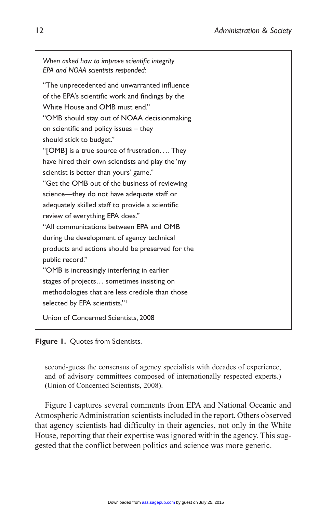*When asked how to improve scientific integrity EPA and NOAA scientists responded:* "The unprecedented and unwarranted influence of the EPA's scientific work and findings by the White House and OMB must end." "OMB should stay out of NOAA decisionmaking on scientific and policy issues – they should stick to budget." "[OMB] is a true source of frustration. … They have hired their own scientists and play the 'my scientist is better than yours' game." "Get the OMB out of the business of reviewing science—they do not have adequate staff or adequately skilled staff to provide a scientific review of everything EPA does." "All communications between EPA and OMB during the development of agency technical products and actions should be preserved for the public record." "OMB is increasingly interfering in earlier stages of projects… sometimes insisting on methodologies that are less credible than those selected by EPA scientists."<sup>1</sup> Union of Concerned Scientists, 2008

**Figure 1.** Quotes from Scientists.

second-guess the consensus of agency specialists with decades of experience, and of advisory committees composed of internationally respected experts.) (Union of Concerned Scientists, 2008).

Figure l captures several comments from EPA and National Oceanic and Atmospheric Administration scientists included in the report. Others observed that agency scientists had difficulty in their agencies, not only in the White House, reporting that their expertise was ignored within the agency. This suggested that the conflict between politics and science was more generic.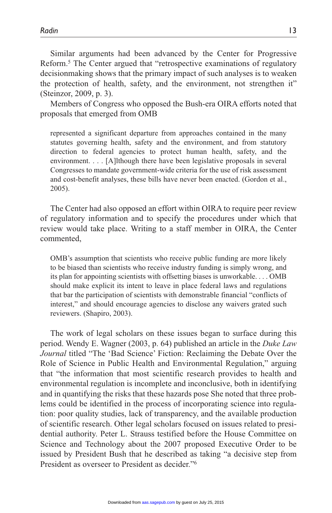Similar arguments had been advanced by the Center for Progressive Reform.5 The Center argued that "retrospective examinations of regulatory decisionmaking shows that the primary impact of such analyses is to weaken the protection of health, safety, and the environment, not strengthen it" (Steinzor, 2009, p. 3).

Members of Congress who opposed the Bush-era OIRA efforts noted that proposals that emerged from OMB

represented a significant departure from approaches contained in the many statutes governing health, safety and the environment, and from statutory direction to federal agencies to protect human health, safety, and the environment. . . . [A]lthough there have been legislative proposals in several Congresses to mandate government-wide criteria for the use of risk assessment and cost-benefit analyses, these bills have never been enacted. (Gordon et al., 2005).

The Center had also opposed an effort within OIRA to require peer review of regulatory information and to specify the procedures under which that review would take place. Writing to a staff member in OIRA, the Center commented,

OMB's assumption that scientists who receive public funding are more likely to be biased than scientists who receive industry funding is simply wrong, and its plan for appointing scientists with offsetting biases is unworkable. . . . OMB should make explicit its intent to leave in place federal laws and regulations that bar the participation of scientists with demonstrable financial "conflicts of interest," and should encourage agencies to disclose any waivers grated such reviewers. (Shapiro, 2003).

The work of legal scholars on these issues began to surface during this period. Wendy E. Wagner (2003, p. 64) published an article in the *Duke Law Journal* titled "The 'Bad Science' Fiction: Reclaiming the Debate Over the Role of Science in Public Health and Environmental Regulation," arguing that "the information that most scientific research provides to health and environmental regulation is incomplete and inconclusive, both in identifying and in quantifying the risks that these hazards pose She noted that three problems could be identified in the process of incorporating science into regulation: poor quality studies, lack of transparency, and the available production of scientific research. Other legal scholars focused on issues related to presidential authority. Peter L. Strauss testified before the House Committee on Science and Technology about the 2007 proposed Executive Order to be issued by President Bush that he described as taking "a decisive step from President as overseer to President as decider."6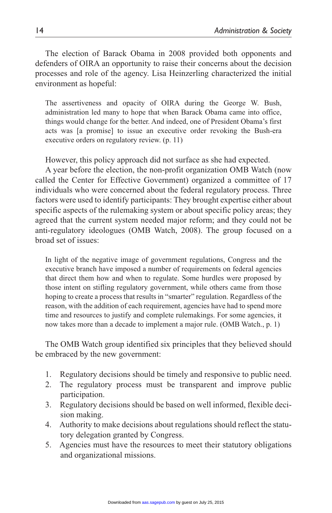The election of Barack Obama in 2008 provided both opponents and defenders of OIRA an opportunity to raise their concerns about the decision processes and role of the agency. Lisa Heinzerling characterized the initial environment as hopeful:

The assertiveness and opacity of OIRA during the George W. Bush, administration led many to hope that when Barack Obama came into office, things would change for the better. And indeed, one of President Obama's first acts was [a promise] to issue an executive order revoking the Bush-era executive orders on regulatory review. (p. 11)

However, this policy approach did not surface as she had expected.

A year before the election, the non-profit organization OMB Watch (now called the Center for Effective Government) organized a committee of 17 individuals who were concerned about the federal regulatory process. Three factors were used to identify participants: They brought expertise either about specific aspects of the rulemaking system or about specific policy areas; they agreed that the current system needed major reform; and they could not be anti-regulatory ideologues (OMB Watch, 2008). The group focused on a broad set of issues:

In light of the negative image of government regulations, Congress and the executive branch have imposed a number of requirements on federal agencies that direct them how and when to regulate. Some hurdles were proposed by those intent on stifling regulatory government, while others came from those hoping to create a process that results in "smarter" regulation. Regardless of the reason, with the addition of each requirement, agencies have had to spend more time and resources to justify and complete rulemakings. For some agencies, it now takes more than a decade to implement a major rule. (OMB Watch., p. 1)

The OMB Watch group identified six principles that they believed should be embraced by the new government:

- 1. Regulatory decisions should be timely and responsive to public need.
- 2. The regulatory process must be transparent and improve public participation.
- 3. Regulatory decisions should be based on well informed, flexible decision making.
- 4. Authority to make decisions about regulations should reflect the statutory delegation granted by Congress.
- 5. Agencies must have the resources to meet their statutory obligations and organizational missions.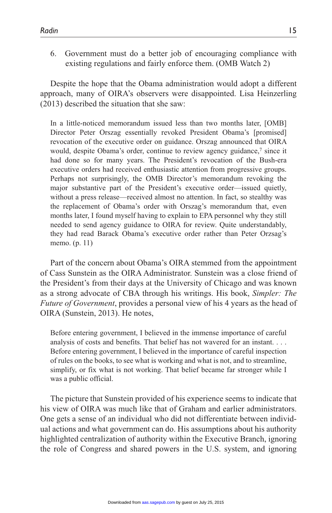6. Government must do a better job of encouraging compliance with existing regulations and fairly enforce them. (OMB Watch 2)

Despite the hope that the Obama administration would adopt a different approach, many of OIRA's observers were disappointed. Lisa Heinzerling (2013) described the situation that she saw:

In a little-noticed memorandum issued less than two months later, [OMB] Director Peter Orszag essentially revoked President Obama's [promised] revocation of the executive order on guidance. Orszag announced that OIRA would, despite Obama's order, continue to review agency guidance,<sup>7</sup> since it had done so for many years. The President's revocation of the Bush-era executive orders had received enthusiastic attention from progressive groups. Perhaps not surprisingly, the OMB Director's memorandum revoking the major substantive part of the President's executive order—issued quietly, without a press release—received almost no attention. In fact, so stealthy was the replacement of Obama's order with Orszag's memorandum that, even months later, I found myself having to explain to EPA personnel why they still needed to send agency guidance to OIRA for review. Quite understandably, they had read Barack Obama's executive order rather than Peter Orzsag's memo. (p. 11)

Part of the concern about Obama's OIRA stemmed from the appointment of Cass Sunstein as the OIRA Administrator. Sunstein was a close friend of the President's from their days at the University of Chicago and was known as a strong advocate of CBA through his writings. His book, *Simpler: The Future of Government*, provides a personal view of his 4 years as the head of OIRA (Sunstein, 2013). He notes,

Before entering government, I believed in the immense importance of careful analysis of costs and benefits. That belief has not wavered for an instant. . . . Before entering government, I believed in the importance of careful inspection of rules on the books, to see what is working and what is not, and to streamline, simplify, or fix what is not working. That belief became far stronger while I was a public official.

The picture that Sunstein provided of his experience seems to indicate that his view of OIRA was much like that of Graham and earlier administrators. One gets a sense of an individual who did not differentiate between individual actions and what government can do. His assumptions about his authority highlighted centralization of authority within the Executive Branch, ignoring the role of Congress and shared powers in the U.S. system, and ignoring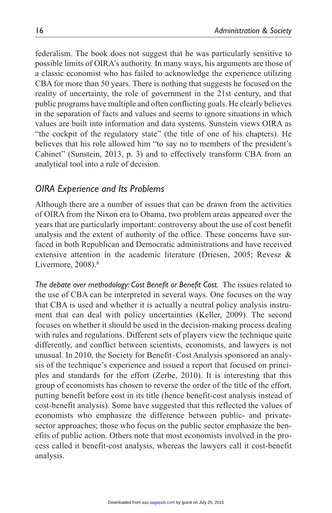federalism. The book does not suggest that he was particularly sensitive to possible limits of OIRA's authority. In many ways, his arguments are those of a classic economist who has failed to acknowledge the experience utilizing CBA for more than 50 years. There is nothing that suggests he focused on the reality of uncertainty, the role of government in the 21st century, and that public programs have multiple and often conflicting goals. He clearly believes in the separation of facts and values and seems to ignore situations in which values are built into information and data systems. Sunstein views OIRA as "the cockpit of the regulatory state" (the title of one of his chapters). He believes that his role allowed him "to say no to members of the president's Cabinet" (Sunstein, 2013, p. 3) and to effectively transform CBA from an analytical tool into a rule of decision.

#### *OIRA Experience and Its Problems*

Although there are a number of issues that can be drawn from the activities of OIRA from the Nixon era to Obama, two problem areas appeared over the years that are particularly important: controversy about the use of cost benefit analysis and the extent of authority of the office. These concerns have surfaced in both Republican and Democratic administrations and have received extensive attention in the academic literature (Driesen, 2005; Revesz & Livermore, 2008).<sup>8</sup>

*The debate over methodology: Cost Benefit or Benefit Cost.* The issues related to the use of CBA can be interpreted in several ways. One focuses on the way that CBA is used and whether it is actually a neutral policy analysis instrument that can deal with policy uncertainties (Keller, 2009). The second focuses on whether it should be used in the decision-making process dealing with rules and regulations. Different sets of players view the technique quite differently, and conflict between scientists, economists, and lawyers is not unusual. In 2010, the Society for Benefit–Cost Analysis sponsored an analysis of the technique's experience and issued a report that focused on principles and standards for the effort (Zerbe, 2010). It is interesting that this group of economists has chosen to reverse the order of the title of the effort, putting benefit before cost in its title (hence benefit-cost analysis instead of cost-benefit analysis). Some have suggested that this reflected the values of economists who emphasize the difference between public- and privatesector approaches; those who focus on the public sector emphasize the benefits of public action. Others note that most economists involved in the process called it benefit-cost analysis, whereas the lawyers call it cost-benefit analysis.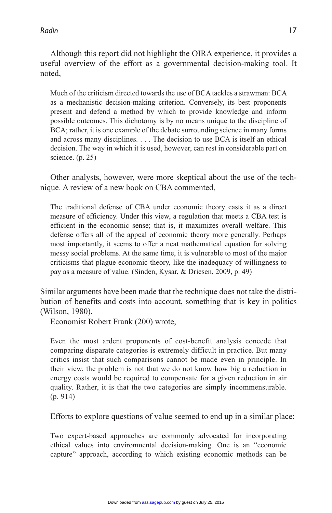Although this report did not highlight the OIRA experience, it provides a useful overview of the effort as a governmental decision-making tool. It noted,

Much of the criticism directed towards the use of BCA tackles a strawman: BCA as a mechanistic decision-making criterion. Conversely, its best proponents present and defend a method by which to provide knowledge and inform possible outcomes. This dichotomy is by no means unique to the discipline of BCA; rather, it is one example of the debate surrounding science in many forms and across many disciplines. . . . The decision to use BCA is itself an ethical decision. The way in which it is used, however, can rest in considerable part on science. (p. 25)

Other analysts, however, were more skeptical about the use of the technique. A review of a new book on CBA commented,

The traditional defense of CBA under economic theory casts it as a direct measure of efficiency. Under this view, a regulation that meets a CBA test is efficient in the economic sense; that is, it maximizes overall welfare. This defense offers all of the appeal of economic theory more generally. Perhaps most importantly, it seems to offer a neat mathematical equation for solving messy social problems. At the same time, it is vulnerable to most of the major criticisms that plague economic theory, like the inadequacy of willingness to pay as a measure of value. (Sinden, Kysar, & Driesen, 2009, p. 49)

Similar arguments have been made that the technique does not take the distribution of benefits and costs into account, something that is key in politics (Wilson, 1980).

Economist Robert Frank (200) wrote,

Even the most ardent proponents of cost-benefit analysis concede that comparing disparate categories is extremely difficult in practice. But many critics insist that such comparisons cannot be made even in principle. In their view, the problem is not that we do not know how big a reduction in energy costs would be required to compensate for a given reduction in air quality. Rather, it is that the two categories are simply incommensurable. (p. 914)

Efforts to explore questions of value seemed to end up in a similar place:

Two expert-based approaches are commonly advocated for incorporating ethical values into environmental decision-making. One is an "economic capture" approach, according to which existing economic methods can be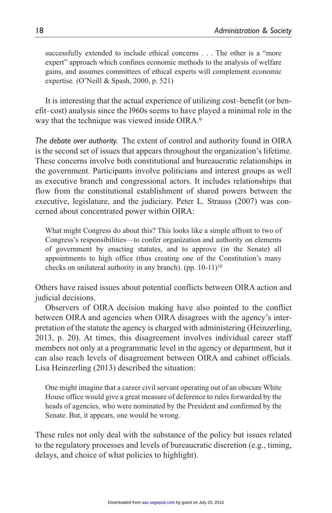successfully extended to include ethical concerns . . . The other is a "more expert" approach which confines economic methods to the analysis of welfare gains, and assumes committees of ethical experts will complement economic expertise. (O'Neill & Spash, 2000, p. 521)

It is interesting that the actual experience of utilizing cost–benefit (or benefit–cost) analysis since the l960s seems to have played a minimal role in the way that the technique was viewed inside OIRA.<sup>9</sup>

*The debate over authority.* The extent of control and authority found in OIRA is the second set of issues that appears throughout the organization's lifetime. These concerns involve both constitutional and bureaucratic relationships in the government. Participants involve politicians and interest groups as well as executive branch and congressional actors. It includes relationships that flow from the constitutional establishment of shared powers between the executive, legislature, and the judiciary. Peter L. Strauss (2007) was concerned about concentrated power within OIRA:

What might Congress do about this? This looks like a simple affront to two of Congress's responsibilities—to confer organization and authority on elements of government by enacting statutes, and to approve (in the Senate) all appointments to high office (thus creating one of the Constitution's many checks on unilateral authority in any branch). (pp. 10-11)10

Others have raised issues about potential conflicts between OIRA action and judicial decisions.

Observers of OIRA decision making have also pointed to the conflict between OIRA and agencies when OIRA disagrees with the agency's interpretation of the statute the agency is charged with administering (Heinzerling, 2013, p. 20). At times, this disagreement involves individual career staff members not only at a programmatic level in the agency or department, but it can also reach levels of disagreement between OIRA and cabinet officials. Lisa Heinzerling (2013) described the situation:

One might imagine that a career civil servant operating out of an obscure White House office would give a great measure of deference to rules forwarded by the heads of agencies, who were nominated by the President and confirmed by the Senate. But, it appears, one would be wrong.

These rules not only deal with the substance of the policy but issues related to the regulatory processes and levels of bureaucratic discretion (e.g., timing, delays, and choice of what policies to highlight).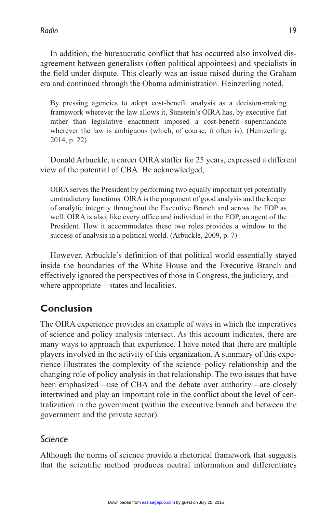In addition, the bureaucratic conflict that has occurred also involved disagreement between generalists (often political appointees) and specialists in the field under dispute. This clearly was an issue raised during the Graham era and continued through the Obama administration. Heinzerling noted,

By pressing agencies to adopt cost-benefit analysis as a decision-making framework wherever the law allows it, Sunstein's OIRA has, by executive fiat rather than legislative enactment imposed a cost-benefit supermandate wherever the law is ambiguous (which, of course, it often is). (Heinzerling, 2014, p. 22)

Donald Arbuckle, a career OIRA staffer for 25 years, expressed a different view of the potential of CBA. He acknowledged,

OIRA serves the President by performing two equally important yet potentially contradictory functions. OIRA is the proponent of good analysis and the keeper of analytic integrity throughout the Executive Branch and across the EOP as well. OIRA is also, like every office and individual in the EOP, an agent of the President. How it accommodates these two roles provides a window to the success of analysis in a political world. (Arbuckle, 2009, p. 7)

However, Arbuckle's definition of that political world essentially stayed inside the boundaries of the White House and the Executive Branch and effectively ignored the perspectives of those in Congress, the judiciary, and where appropriate—states and localities.

# **Conclusion**

The OIRA experience provides an example of ways in which the imperatives of science and policy analysis intersect. As this account indicates, there are many ways to approach that experience. I have noted that there are multiple players involved in the activity of this organization. A summary of this experience illustrates the complexity of the science–policy relationship and the changing role of policy analysis in that relationship. The two issues that have been emphasized—use of CBA and the debate over authority—are closely intertwined and play an important role in the conflict about the level of centralization in the government (within the executive branch and between the government and the private sector).

#### *Science*

Although the norms of science provide a rhetorical framework that suggests that the scientific method produces neutral information and differentiates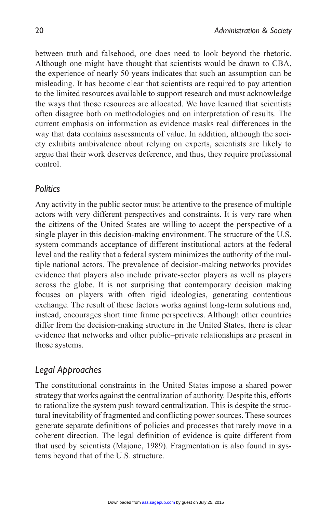between truth and falsehood, one does need to look beyond the rhetoric. Although one might have thought that scientists would be drawn to CBA, the experience of nearly 50 years indicates that such an assumption can be misleading. It has become clear that scientists are required to pay attention to the limited resources available to support research and must acknowledge the ways that those resources are allocated. We have learned that scientists often disagree both on methodologies and on interpretation of results. The current emphasis on information as evidence masks real differences in the way that data contains assessments of value. In addition, although the society exhibits ambivalence about relying on experts, scientists are likely to argue that their work deserves deference, and thus, they require professional control.

#### *Politics*

Any activity in the public sector must be attentive to the presence of multiple actors with very different perspectives and constraints. It is very rare when the citizens of the United States are willing to accept the perspective of a single player in this decision-making environment. The structure of the U.S. system commands acceptance of different institutional actors at the federal level and the reality that a federal system minimizes the authority of the multiple national actors. The prevalence of decision-making networks provides evidence that players also include private-sector players as well as players across the globe. It is not surprising that contemporary decision making focuses on players with often rigid ideologies, generating contentious exchange. The result of these factors works against long-term solutions and, instead, encourages short time frame perspectives. Although other countries differ from the decision-making structure in the United States, there is clear evidence that networks and other public–private relationships are present in those systems.

#### *Legal Approaches*

The constitutional constraints in the United States impose a shared power strategy that works against the centralization of authority. Despite this, efforts to rationalize the system push toward centralization. This is despite the structural inevitability of fragmented and conflicting power sources. These sources generate separate definitions of policies and processes that rarely move in a coherent direction. The legal definition of evidence is quite different from that used by scientists (Majone, 1989). Fragmentation is also found in systems beyond that of the U.S. structure.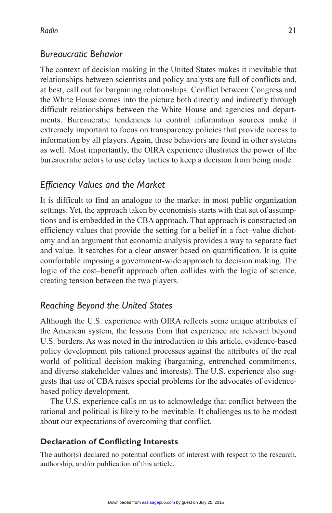## *Bureaucratic Behavior*

The context of decision making in the United States makes it inevitable that relationships between scientists and policy analysts are full of conflicts and, at best, call out for bargaining relationships. Conflict between Congress and the White House comes into the picture both directly and indirectly through difficult relationships between the White House and agencies and departments. Bureaucratic tendencies to control information sources make it extremely important to focus on transparency policies that provide access to information by all players. Again, these behaviors are found in other systems as well. Most importantly, the OIRA experience illustrates the power of the bureaucratic actors to use delay tactics to keep a decision from being made.

#### *Efficiency Values and the Market*

It is difficult to find an analogue to the market in most public organization settings. Yet, the approach taken by economists starts with that set of assumptions and is embedded in the CBA approach. That approach is constructed on efficiency values that provide the setting for a belief in a fact–value dichotomy and an argument that economic analysis provides a way to separate fact and value. It searches for a clear answer based on quantification. It is quite comfortable imposing a government-wide approach to decision making. The logic of the cost–benefit approach often collides with the logic of science, creating tension between the two players.

#### *Reaching Beyond the United States*

Although the U.S. experience with OIRA reflects some unique attributes of the American system, the lessons from that experience are relevant beyond U.S. borders. As was noted in the introduction to this article, evidence-based policy development pits rational processes against the attributes of the real world of political decision making (bargaining, entrenched commitments, and diverse stakeholder values and interests). The U.S. experience also suggests that use of CBA raises special problems for the advocates of evidencebased policy development.

The U.S. experience calls on us to acknowledge that conflict between the rational and political is likely to be inevitable. It challenges us to be modest about our expectations of overcoming that conflict.

#### **Declaration of Conflicting Interests**

The author(s) declared no potential conflicts of interest with respect to the research, authorship, and/or publication of this article.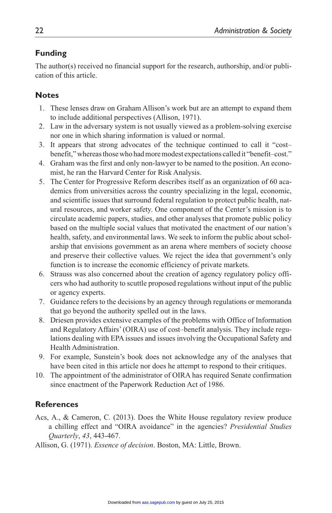#### **Funding**

The author(s) received no financial support for the research, authorship, and/or publication of this article.

#### **Notes**

- 1. These lenses draw on Graham Allison's work but are an attempt to expand them to include additional perspectives (Allison, 1971).
- 2. Law in the adversary system is not usually viewed as a problem-solving exercise nor one in which sharing information is valued or normal.
- 3. It appears that strong advocates of the technique continued to call it "cost– benefit," whereas those who had more modest expectations called it "benefit–cost."
- 4. Graham was the first and only non-lawyer to be named to the position. An economist, he ran the Harvard Center for Risk Analysis.
- 5. The Center for Progressive Reform describes itself as an organization of 60 academics from universities across the country specializing in the legal, economic, and scientific issues that surround federal regulation to protect public health, natural resources, and worker safety. One component of the Center's mission is to circulate academic papers, studies, and other analyses that promote public policy based on the multiple social values that motivated the enactment of our nation's health, safety, and environmental laws. We seek to inform the public about scholarship that envisions government as an arena where members of society choose and preserve their collective values. We reject the idea that government's only function is to increase the economic efficiency of private markets.
- 6. Strauss was also concerned about the creation of agency regulatory policy officers who had authority to scuttle proposed regulations without input of the public or agency experts.
- 7. Guidance refers to the decisions by an agency through regulations or memoranda that go beyond the authority spelled out in the laws.
- 8. Driesen provides extensive examples of the problems with Office of Information and Regulatory Affairs' (OIRA) use of cost–benefit analysis. They include regulations dealing with EPA issues and issues involving the Occupational Safety and Health Administration.
- 9. For example, Sunstein's book does not acknowledge any of the analyses that have been cited in this article nor does he attempt to respond to their critiques.
- 10. The appointment of the administrator of OIRA has required Senate confirmation since enactment of the Paperwork Reduction Act of 1986.

#### **References**

- Acs, A., & Cameron, C. (2013). Does the White House regulatory review produce a chilling effect and "OIRA avoidance" in the agencies? *Presidential Studies Quarterly*, *43*, 443-467.
- Allison, G. (1971). *Essence of decision*. Boston, MA: Little, Brown.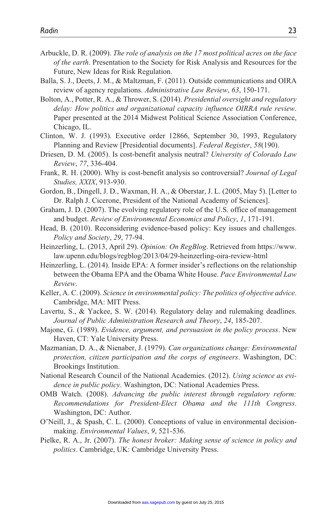- Arbuckle, D. R. (2009). *The role of analysis on the 17 most political acres on the face of the earth*. Presentation to the Society for Risk Analysis and Resources for the Future, New Ideas for Risk Regulation.
- Balla, S. J., Deets, J. M., & Maltzman, F. (2011). Outside communications and OIRA review of agency regulations. *Administrative Law Review*, *63*, 150-171.
- Bolton, A., Potter, R. A., & Thrower, S. (2014). *Presidential oversight and regulatory delay: How politics and organizational capacity influence OIRRA rule review*. Paper presented at the 2014 Midwest Political Science Association Conference, Chicago, IL.
- Clinton, W. J. (1993). Executive order 12866, September 30, 1993, Regulatory Planning and Review [Presidential documents]. *Federal Register*, *58*(190).
- Driesen, D. M. (2005). Is cost-benefit analysis neutral? *University of Colorado Law Review*, *77*, 336-404.
- Frank, R. H. (2000). Why is cost-benefit analysis so controversial? *Journal of Legal Studies, XXIX*, 913-930.
- Gordon, B., Dingell, J. D., Waxman, H. A., & Oberstar, J. L. (2005, May 5). [Letter to Dr. Ralph J. Cicerone, President of the National Academy of Sciences].
- Graham, J. D. (2007). The evolving regulatory role of the U.S. office of management and budget. *Review of Environmental Economics and Policy*, *1*, 171-191.
- Head, B. (2010). Reconsidering evidence-based policy: Key issues and challenges. *Policy and Society*, *29*, 77-94.
- Heinzerling, L. (2013, April 29). *Opinion: On RegBlog*. Retrieved from [https://www.](https://www.law.upenn.edu/blogs/regblog/2013/04/29-heinzerling-oira-review-html) [law.upenn.edu/blogs/regblog/2013/04/29-heinzerling-oira-review-html](https://www.law.upenn.edu/blogs/regblog/2013/04/29-heinzerling-oira-review-html)
- Heinzerling, L. (2014). Inside EPA: A former insider's reflections on the relationship between the Obama EPA and the Obama White House. *Pace Environmental Law Review*.
- Keller, A. C. (2009). *Science in environmental policy: The politics of objective advice*. Cambridge, MA: MIT Press.
- Lavertu, S., & Yackee, S. W. (2014). Regulatory delay and rulemaking deadlines. *Journal of Public Administration Research and Theory*, *24*, 185-207.
- Majone, G. (1989). *Evidence, argument, and persuasion in the policy process*. New Haven, CT: Yale University Press.
- Mazmanian, D. A., & Nienaber, J. (1979). *Can organizations change: Environmental protection, citizen participation and the corps of engineers*. Washington, DC: Brookings Institution.
- National Research Council of the National Academies. (2012). *Using science as evidence in public policy*. Washington, DC: National Academies Press.
- OMB Watch. (2008). *Advancing the public interest through regulatory reform: Recommendations for President-Elect Obama and the 111th Congress*. Washington, DC: Author.
- O'Neill, J., & Spash, C. L. (2000). Conceptions of value in environmental decisionmaking. *Environmental Values*, *9*, 521-536.
- Pielke, R. A., Jr. (2007). *The honest broker: Making sense of science in policy and politics*. Cambridge, UK: Cambridge University Press.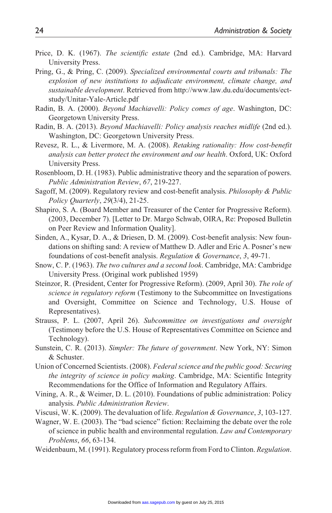- Price, D. K. (1967). *The scientific estate* (2nd ed.). Cambridge, MA: Harvard University Press.
- Pring, G., & Pring, C. (2009). *Specialized environmental courts and tribunals: The explosion of new institutions to adjudicate environment, climate change, and sustainable development*. Retrieved from [http://www.law.du.edu/documents/ect](http://www.law.du.edu/documents/ect-study/Unitar-Yale-Article.pdf)[study/Unitar-Yale-Article.pdf](http://www.law.du.edu/documents/ect-study/Unitar-Yale-Article.pdf)
- Radin, B. A. (2000). *Beyond Machiavelli: Policy comes of age*. Washington, DC: Georgetown University Press.
- Radin, B. A. (2013). *Beyond Machiavelli: Policy analysis reaches midlife* (2nd ed.). Washington, DC: Georgetown University Press.
- Revesz, R. L., & Livermore, M. A. (2008). *Retaking rationality: How cost-benefit analysis can better protect the environment and our health*. Oxford, UK: Oxford University Press.
- Rosenbloom, D. H. (1983). Public administrative theory and the separation of powers. *Public Administration Review*, *67*, 219-227.
- Sagoff, M. (2009). Regulatory review and cost-benefit analysis. *Philosophy & Public Policy Quarterly*, *29*(3/4), 21-25.
- Shapiro, S. A. (Board Member and Treasurer of the Center for Progressive Reform). (2003, December 7). [Letter to Dr. Margo Schwab, OIRA, Re: Proposed Bulletin on Peer Review and Information Quality].
- Sinden, A., Kysar, D. A., & Driesen, D. M. (2009). Cost-benefit analysis: New foundations on shifting sand: A review of Matthew D. Adler and Eric A. Posner's new foundations of cost-benefit analysis. *Regulation & Governance*, *3*, 49-71.
- Snow, C. P. (1963). *The two cultures and a second look*. Cambridge, MA: Cambridge University Press. (Original work published 1959)
- Steinzor, R. (President, Center for Progressive Reform). (2009, April 30). *The role of science in regulatory reform* (Testimony to the Subcommittee on Investigations and Oversight, Committee on Science and Technology, U.S. House of Representatives).
- Strauss, P. L. (2007, April 26). *Subcommittee on investigations and oversight* (Testimony before the U.S. House of Representatives Committee on Science and Technology).
- Sunstein, C. R. (2013). *Simpler: The future of government*. New York, NY: Simon & Schuster.
- Union of Concerned Scientists. (2008). *Federal science and the public good: Securing the integrity of science in policy making*. Cambridge, MA: Scientific Integrity Recommendations for the Office of Information and Regulatory Affairs.
- Vining, A. R., & Weimer, D. L. (2010). Foundations of public administration: Policy analysis. *Public Administration Review*.
- Viscusi, W. K. (2009). The devaluation of life. *Regulation & Governance*, *3*, 103-127.
- Wagner, W. E. (2003). The "bad science" fiction: Reclaiming the debate over the role of science in public health and environmental regulation. *Law and Contemporary Problems*, *66*, 63-134.
- Weidenbaum, M. (1991). Regulatory process reform from Ford to Clinton. *Regulation*.